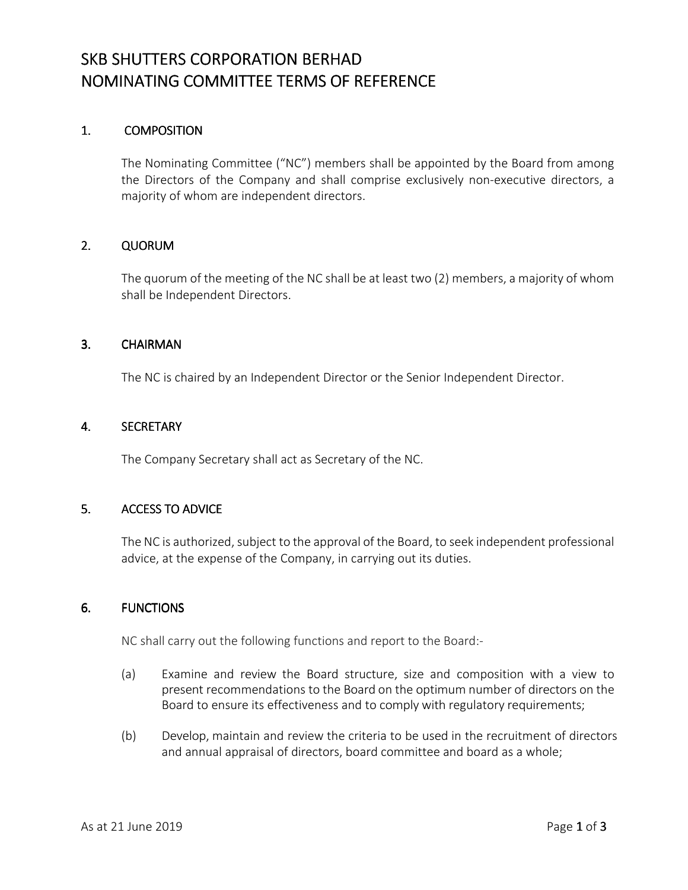### SKB SHUTTERS CORPORATION BERHAD NOMINATING COMMITTEE TERMS OF REFERENCE

### 1. **COMPOSITION**

The Nominating Committee ("NC") members shall be appointed by the Board from among the Directors of the Company and shall comprise exclusively non-executive directors, a majority of whom are independent directors.

### 2. QUORUM

The quorum of the meeting of the NC shall be at least two (2) members, a majority of whom shall be Independent Directors.

#### 3. CHAIRMAN

The NC is chaired by an Independent Director or the Senior Independent Director.

#### 4. SECRETARY

The Company Secretary shall act as Secretary of the NC.

### 5. ACCESS TO ADVICE

The NC is authorized, subject to the approval of the Board, to seek independent professional advice, at the expense of the Company, in carrying out its duties.

### 6. FUNCTIONS

NC shall carry out the following functions and report to the Board:-

- (a) Examine and review the Board structure, size and composition with a view to present recommendations to the Board on the optimum number of directors on the Board to ensure its effectiveness and to comply with regulatory requirements;
- (b) Develop, maintain and review the criteria to be used in the recruitment of directors and annual appraisal of directors, board committee and board as a whole;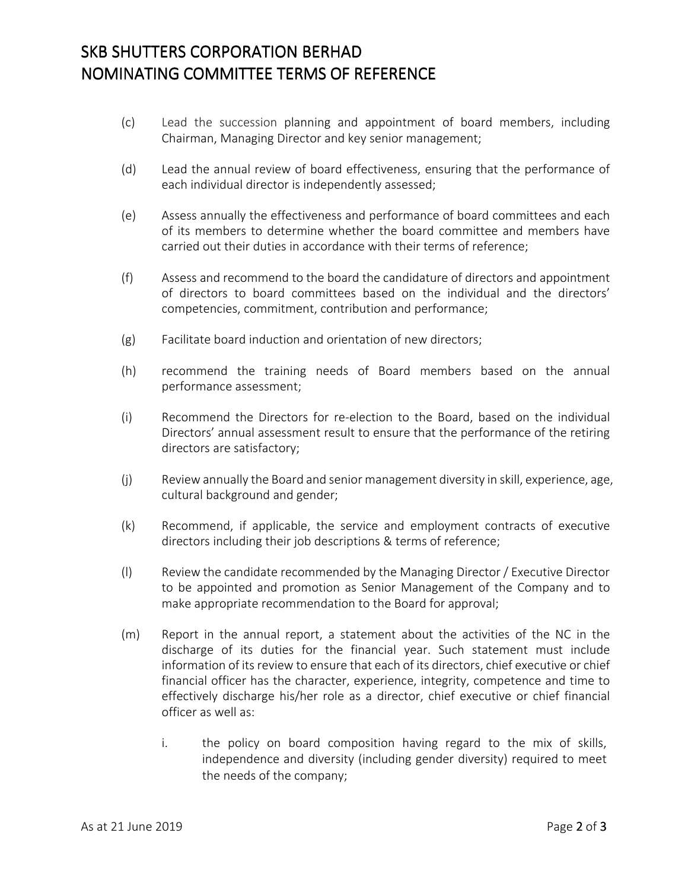# SKB SHUTTERS CORPORATION BERHAD NOMINATING COMMITTEE TERMS OF REFERENCE

- (c) Lead the succession planning and appointment of board members, including Chairman, Managing Director and key senior management;
- (d) Lead the annual review of board effectiveness, ensuring that the performance of each individual director is independently assessed;
- (e) Assess annually the effectiveness and performance of board committees and each of its members to determine whether the board committee and members have carried out their duties in accordance with their terms of reference;
- (f) Assess and recommend to the board the candidature of directors and appointment of directors to board committees based on the individual and the directors' competencies, commitment, contribution and performance;
- (g) Facilitate board induction and orientation of new directors;
- (h) recommend the training needs of Board members based on the annual performance assessment;
- (i) Recommend the Directors for re-election to the Board, based on the individual Directors' annual assessment result to ensure that the performance of the retiring directors are satisfactory;
- (j) Review annually the Board and senior management diversity in skill, experience, age, cultural background and gender;
- (k) Recommend, if applicable, the service and employment contracts of executive directors including their job descriptions & terms of reference;
- (l) Review the candidate recommended by the Managing Director / Executive Director to be appointed and promotion as Senior Management of the Company and to make appropriate recommendation to the Board for approval;
- (m) Report in the annual report, a statement about the activities of the NC in the discharge of its duties for the financial year. Such statement must include information of its review to ensure that each of its directors, chief executive or chief financial officer has the character, experience, integrity, competence and time to effectively discharge his/her role as a director, chief executive or chief financial officer as well as:
	- i. the policy on board composition having regard to the mix of skills, independence and diversity (including gender diversity) required to meet the needs of the company;